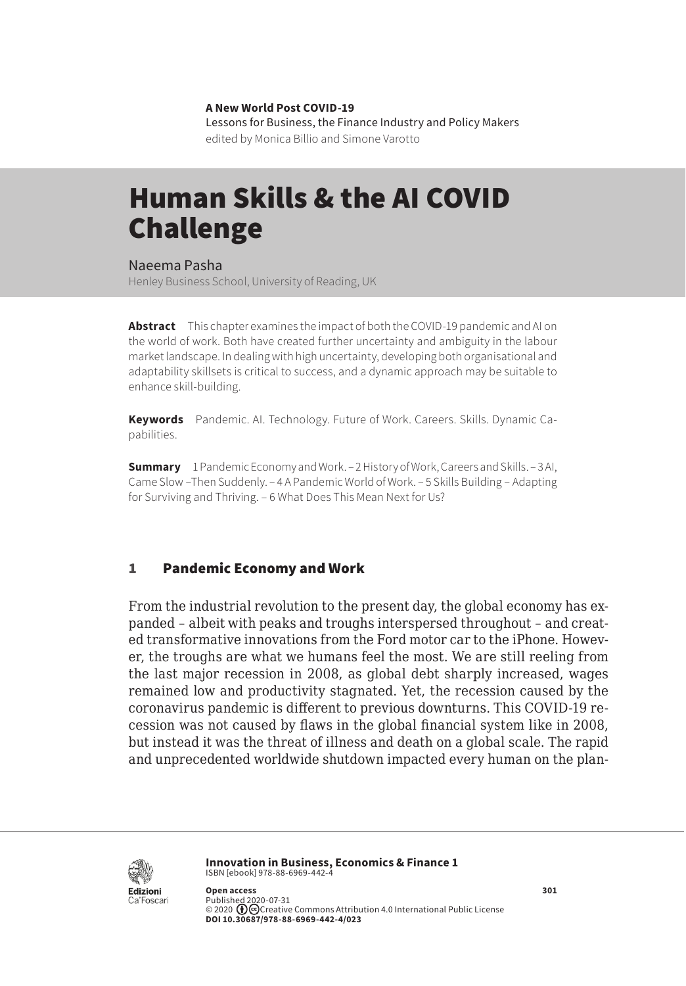**A New World Post COVID-19** Lessons for Business, the Finance Industry and Policy Makers edited by Monica Billio and Simone Varotto

# Human Skills & the AI COVID Challenge

Naeema Pasha Henley Business School, University of Reading, UK

**Abstract** This chapter examines the impact of both the COVID-19 pandemic and AI on the world of work. Both have created further uncertainty and ambiguity in the labour market landscape. In dealing with high uncertainty, developing both organisational and adaptability skillsets is critical to success, and a dynamic approach may be suitable to enhance skill-building.

**Keywords** Pandemic. AI. Technology. Future of Work. Careers. Skills. Dynamic Capabilities.

**Summary** [1 Pandemic Economy and Work.](#page-1-0) – [2 History of Work, Careers and Skills](#page-1-0). – [3 AI,](#page-2-0)  Came Slow [–Then Suddenly](#page-2-0). – [4 A Pandemic World of Work](#page-3-0). – [5 Skills Building](#page-5-0) – Adapting [for Surviving and Thriving](#page-5-0). – [6 What Does This Mean Next for Us?](#page-6-0)

## 1 Pandemic Economy and Work

From the industrial revolution to the present day, the global economy has expanded – albeit with peaks and troughs interspersed throughout – and created transformative innovations from the Ford motor car to the iPhone. However, the troughs are what we humans feel the most. We are still reeling from the last major recession in 2008, as global debt sharply increased, wages remained low and productivity stagnated. Yet, the recession caused by the coronavirus pandemic is different to previous downturns. This COVID-19 recession was not caused by flaws in the global financial system like in 2008, but instead it was the threat of illness and death on a global scale. The rapid and unprecedented worldwide shutdown impacted every human on the plan-



**Innovation in Business, Economics & Finance 1** ISBN [ebook] 978-88-6969-442-4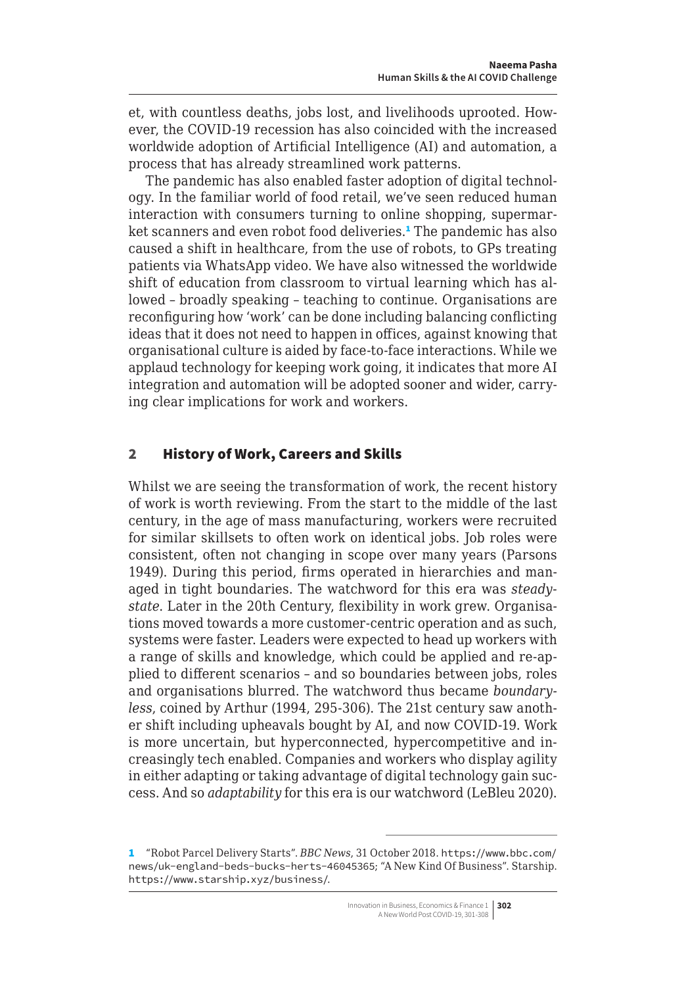<span id="page-1-0"></span>et, with countless deaths, jobs lost, and livelihoods uprooted. However, the COVID-19 recession has also coincided with the increased worldwide adoption of Artificial Intelligence (AI) and automation, a process that has already streamlined work patterns.

The pandemic has also enabled faster adoption of digital technology. In the familiar world of food retail, we've seen reduced human interaction with consumers turning to online shopping, supermarket scanners and even robot food deliveries.<sup>1</sup> The pandemic has also caused a shift in healthcare, from the use of robots, to GPs treating patients via WhatsApp video. We have also witnessed the worldwide shift of education from classroom to virtual learning which has allowed – broadly speaking – teaching to continue. Organisations are reconfiguring how 'work' can be done including balancing conflicting ideas that it does not need to happen in offices, against knowing that organisational culture is aided by face-to-face interactions. While we applaud technology for keeping work going, it indicates that more AI integration and automation will be adopted sooner and wider, carrying clear implications for work and workers.

# 2 History of Work, Careers and Skills

Whilst we are seeing the transformation of work, the recent history of work is worth reviewing. From the start to the middle of the last century, in the age of mass manufacturing, workers were recruited for similar skillsets to often work on identical jobs. Job roles were consistent, often not changing in scope over many years (Parsons 1949). During this period, firms operated in hierarchies and managed in tight boundaries. The watchword for this era was *steadystate*. Later in the 20th Century, flexibility in work grew. Organisations moved towards a more customer-centric operation and as such, systems were faster. Leaders were expected to head up workers with a range of skills and knowledge, which could be applied and re-applied to different scenarios – and so boundaries between jobs, roles and organisations blurred. The watchword thus became *boundaryless*, coined by Arthur (1994, 295-306). The 21st century saw another shift including upheavals bought by AI, and now COVID-19. Work is more uncertain, but hyperconnected, hypercompetitive and increasingly tech enabled. Companies and workers who display agility in either adapting or taking advantage of digital technology gain success. And so *adaptability* for this era is our watchword (LeBleu 2020).

<sup>1</sup> "Robot Parcel Delivery Starts". *BBC News*, 31 October 2018. [https://www.bbc.com/](https://www.bbc.com/news/uk-england-beds-bucks-herts-46045365) [news/uk-england-beds-bucks-herts-46045365](https://www.bbc.com/news/uk-england-beds-bucks-herts-46045365); "A New Kind Of Business". Starship. <https://www.starship.xyz/business/>.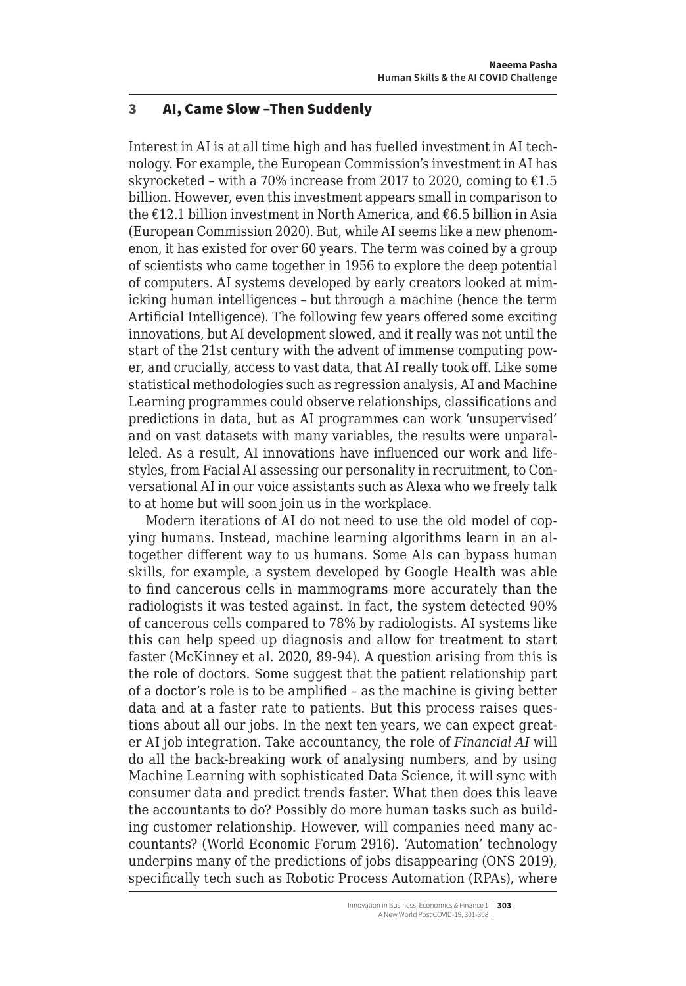### <span id="page-2-0"></span>3 AI, Came Slow –Then Suddenly

Interest in AI is at all time high and has fuelled investment in AI technology. For example, the European Commission's investment in AI has skyrocketed - with a 70% increase from 2017 to 2020, coming to  $£1.5$ billion. However, even this investment appears small in comparison to the €12.1 billion investment in North America, and €6.5 billion in Asia (European Commission 2020). But, while AI seems like a new phenomenon, it has existed for over 60 years. The term was coined by a group of scientists who came together in 1956 to explore the deep potential of computers. AI systems developed by early creators looked at mimicking human intelligences – but through a machine (hence the term Artificial Intelligence). The following few years offered some exciting innovations, but AI development slowed, and it really was not until the start of the 21st century with the advent of immense computing power, and crucially, access to vast data, that AI really took off. Like some statistical methodologies such as regression analysis, AI and Machine Learning programmes could observe relationships, classifications and predictions in data, but as AI programmes can work 'unsupervised' and on vast datasets with many variables, the results were unparalleled. As a result, AI innovations have influenced our work and lifestyles, from Facial AI assessing our personality in recruitment, to Conversational AI in our voice assistants such as Alexa who we freely talk to at home but will soon join us in the workplace.

Modern iterations of AI do not need to use the old model of copying humans. Instead, machine learning algorithms learn in an altogether different way to us humans. Some AIs can bypass human skills, for example, a system developed by Google Health was able to find cancerous cells in mammograms more accurately than the radiologists it was tested against. In fact, the system detected 90% of cancerous cells compared to 78% by radiologists. AI systems like this can help speed up diagnosis and allow for treatment to start faster (McKinney et al. 2020, 89-94). A question arising from this is the role of doctors. Some suggest that the patient relationship part of a doctor's role is to be amplified – as the machine is giving better data and at a faster rate to patients. But this process raises questions about all our jobs. In the next ten years, we can expect greater AI job integration. Take accountancy, the role of *Financial AI* will do all the back-breaking work of analysing numbers, and by using Machine Learning with sophisticated Data Science, it will sync with consumer data and predict trends faster. What then does this leave the accountants to do? Possibly do more human tasks such as building customer relationship. However, will companies need many accountants? (World Economic Forum 2916). 'Automation' technology underpins many of the predictions of jobs disappearing (ONS 2019), specifically tech such as Robotic Process Automation (RPAs), where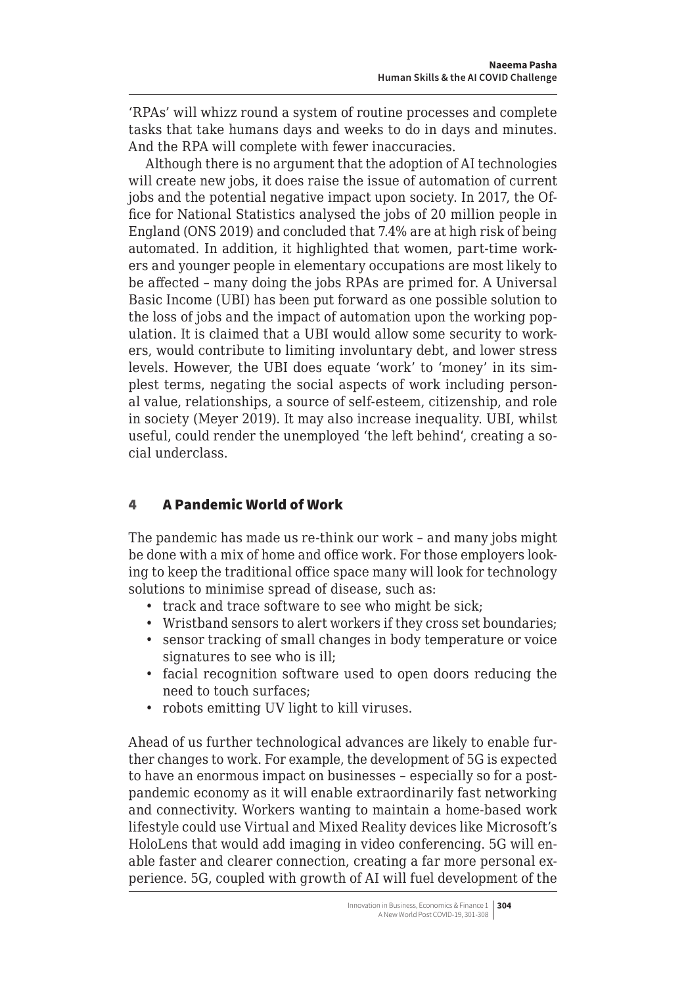<span id="page-3-0"></span>'RPAs' will whizz round a system of routine processes and complete tasks that take humans days and weeks to do in days and minutes. And the RPA will complete with fewer inaccuracies.

Although there is no argument that the adoption of AI technologies will create new jobs, it does raise the issue of automation of current jobs and the potential negative impact upon society. In 2017, the Office for National Statistics analysed the jobs of 20 million people in England (ONS 2019) and concluded that 7.4% are at high risk of being automated. In addition, it highlighted that women, part-time workers and younger people in elementary occupations are most likely to be affected – many doing the jobs RPAs are primed for. A Universal Basic Income (UBI) has been put forward as one possible solution to the loss of jobs and the impact of automation upon the working population. It is claimed that a UBI would allow some security to workers, would contribute to limiting involuntary debt, and lower stress levels. However, the UBI does equate 'work' to 'money' in its simplest terms, negating the social aspects of work including personal value, relationships, a source of self-esteem, citizenship, and role in society (Meyer 2019). It may also increase inequality. UBI, whilst useful, could render the unemployed 'the left behind', creating a social underclass.

# 4 A Pandemic World of Work

The pandemic has made us re-think our work – and many jobs might be done with a mix of home and office work. For those employers looking to keep the traditional office space many will look for technology solutions to minimise spread of disease, such as:

- track and trace software to see who might be sick;
- Wristband sensors to alert workers if they cross set boundaries;
- sensor tracking of small changes in body temperature or voice signatures to see who is ill;
- facial recognition software used to open doors reducing the need to touch surfaces;
- robots emitting UV light to kill viruses.

Ahead of us further technological advances are likely to enable further changes to work. For example, the development of 5G is expected to have an enormous impact on businesses – especially so for a postpandemic economy as it will enable extraordinarily fast networking and connectivity. Workers wanting to maintain a home-based work lifestyle could use Virtual and Mixed Reality devices like Microsoft's HoloLens that would add imaging in video conferencing. 5G will enable faster and clearer connection, creating a far more personal experience. 5G, coupled with growth of AI will fuel development of the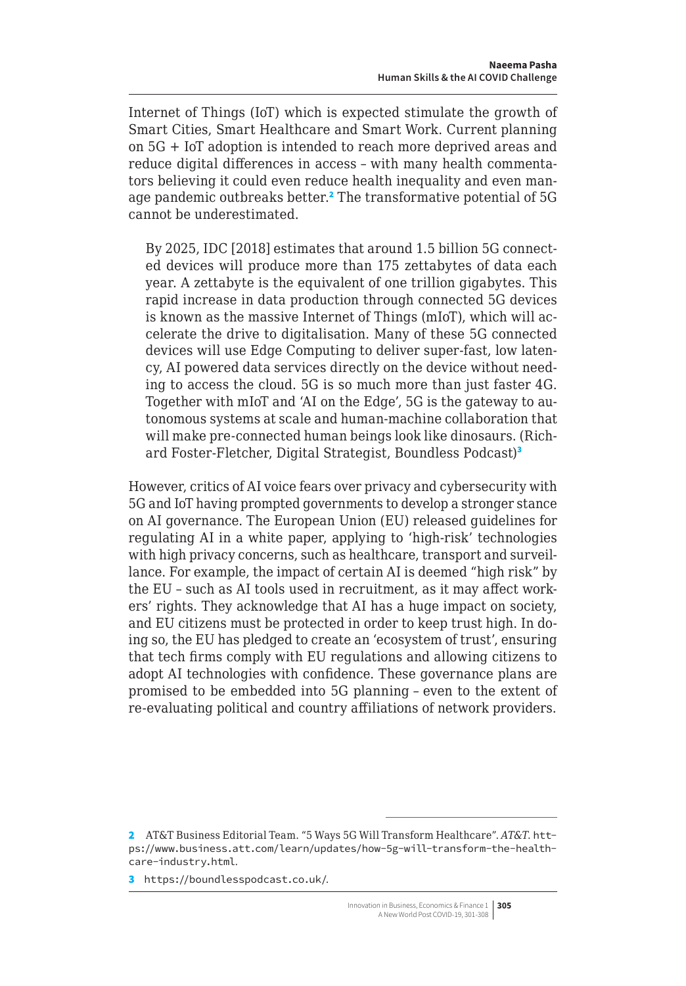Internet of Things (IoT) which is expected stimulate the growth of Smart Cities, Smart Healthcare and Smart Work. Current planning on 5G + IoT adoption is intended to reach more deprived areas and reduce digital differences in access – with many health commentators believing it could even reduce health inequality and even manage pandemic outbreaks better.<sup>2</sup> The transformative potential of 5G cannot be underestimated.

By 2025, IDC [2018] estimates that around 1.5 billion 5G connected devices will produce more than 175 zettabytes of data each year. A zettabyte is the equivalent of one trillion gigabytes. This rapid increase in data production through connected 5G devices is known as the massive Internet of Things (mIoT), which will accelerate the drive to digitalisation. Many of these 5G connected devices will use Edge Computing to deliver super-fast, low latency, AI powered data services directly on the device without needing to access the cloud. 5G is so much more than just faster 4G. Together with mIoT and 'AI on the Edge', 5G is the gateway to autonomous systems at scale and human-machine collaboration that will make pre-connected human beings look like dinosaurs. (Richard Foster-Fletcher, Digital Strategist, Boundless Podcast)<sup>3</sup>

However, critics of AI voice fears over privacy and cybersecurity with 5G and IoT having prompted governments to develop a stronger stance on AI governance. The European Union (EU) released guidelines for regulating AI in a white paper, applying to 'high-risk' technologies with high privacy concerns, such as healthcare, transport and surveillance. For example, the impact of certain AI is deemed "high risk" by the EU – such as AI tools used in recruitment, as it may affect workers' rights. They acknowledge that AI has a huge impact on society, and EU citizens must be protected in order to keep trust high. In doing so, the EU has pledged to create an 'ecosystem of trust', ensuring that tech firms comply with EU regulations and allowing citizens to adopt AI technologies with confidence. These governance plans are promised to be embedded into 5G planning – even to the extent of re-evaluating political and country affiliations of network providers.

<sup>2</sup> AT&T Business Editorial Team. "5 Ways 5G Will Transform Healthcare". *AT&T*. [htt](https://www.business.att.com/learn/updates/how-5g-will-transform-the-healthcare-industry.html)[ps://www.business.att.com/learn/updates/how-5g-will-transform-the-health](https://www.business.att.com/learn/updates/how-5g-will-transform-the-healthcare-industry.html)[care-industry.html](https://www.business.att.com/learn/updates/how-5g-will-transform-the-healthcare-industry.html).

<sup>3</sup> <https://boundlesspodcast.co.uk/>.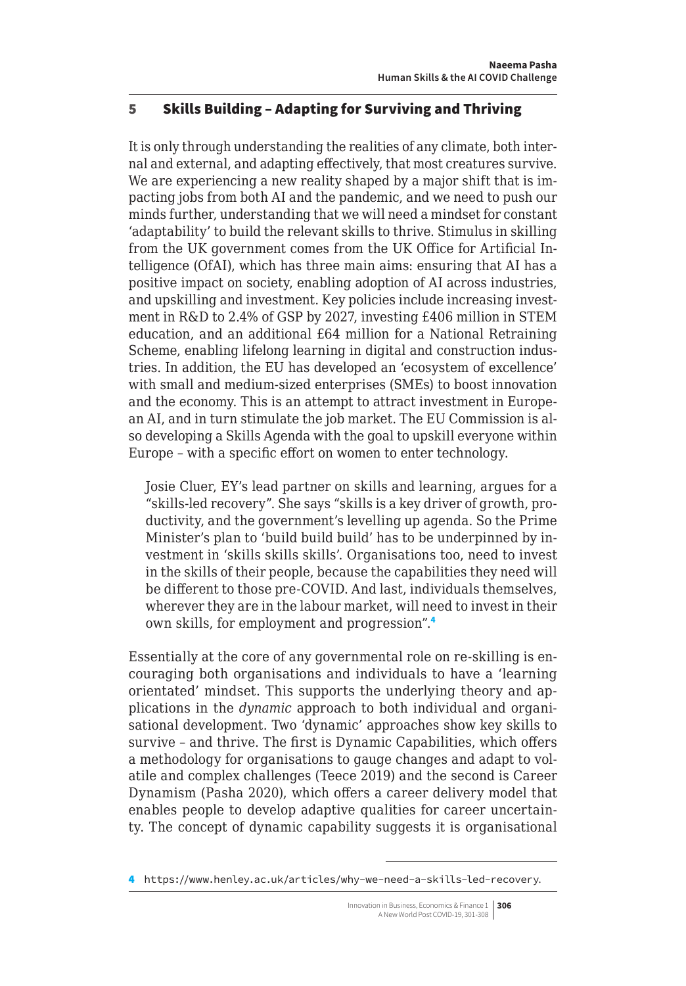## <span id="page-5-0"></span>5 Skills Building – Adapting for Surviving and Thriving

It is only through understanding the realities of any climate, both internal and external, and adapting effectively, that most creatures survive. We are experiencing a new reality shaped by a major shift that is impacting jobs from both AI and the pandemic, and we need to push our minds further, understanding that we will need a mindset for constant 'adaptability' to build the relevant skills to thrive. Stimulus in skilling from the UK government comes from the UK Office for Artificial Intelligence (OfAI), which has three main aims: ensuring that AI has a positive impact on society, enabling adoption of AI across industries, and upskilling and investment. Key policies include increasing investment in R&D to 2.4% of GSP by 2027, investing £406 million in STEM education, and an additional £64 million for a National Retraining Scheme, enabling lifelong learning in digital and construction industries. In addition, the EU has developed an 'ecosystem of excellence' with small and medium-sized enterprises (SMEs) to boost innovation and the economy. This is an attempt to attract investment in European AI, and in turn stimulate the job market. The EU Commission is also developing a Skills Agenda with the goal to upskill everyone within Europe – with a specific effort on women to enter technology.

Josie Cluer, EY's lead partner on skills and learning, argues for a "skills-led recovery". She says "skills is a key driver of growth, productivity, and the government's levelling up agenda. So the Prime Minister's plan to 'build build build' has to be underpinned by investment in 'skills skills skills'. Organisations too, need to invest in the skills of their people, because the capabilities they need will be different to those pre-COVID. And last, individuals themselves, wherever they are in the labour market, will need to invest in their own skills, for employment and progression".<sup>4</sup>

Essentially at the core of any governmental role on re-skilling is encouraging both organisations and individuals to have a 'learning orientated' mindset. This supports the underlying theory and applications in the *dynamic* approach to both individual and organisational development. Two 'dynamic' approaches show key skills to survive – and thrive. The first is Dynamic Capabilities, which offers a methodology for organisations to gauge changes and adapt to volatile and complex challenges (Teece 2019) and the second is Career Dynamism (Pasha 2020), which offers a career delivery model that enables people to develop adaptive qualities for career uncertainty. The concept of dynamic capability suggests it is organisational

<sup>4</sup> <https://www.henley.ac.uk/articles/why-we-need-a-skills-led-recovery>.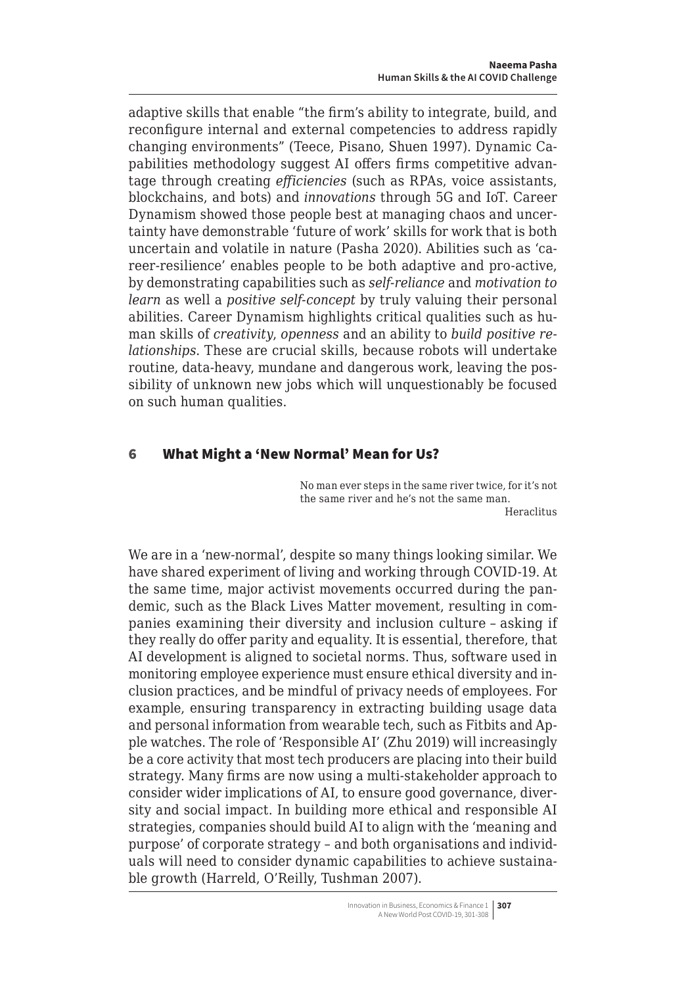<span id="page-6-0"></span>adaptive skills that enable "the firm's ability to integrate, build, and reconfigure internal and external competencies to address rapidly changing environments" (Teece, Pisano, Shuen 1997). Dynamic Capabilities methodology suggest AI offers firms competitive advantage through creating *efficiencies* (such as RPAs, voice assistants, blockchains, and bots) and *innovations* through 5G and IoT. Career Dynamism showed those people best at managing chaos and uncertainty have demonstrable 'future of work' skills for work that is both uncertain and volatile in nature (Pasha 2020). Abilities such as 'career-resilience' enables people to be both adaptive and pro-active, by demonstrating capabilities such as *self-reliance* and *motivation to learn* as well a *positive self-concept* by truly valuing their personal abilities. Career Dynamism highlights critical qualities such as human skills of *creativity*, *openness* and an ability to *build positive relationships*. These are crucial skills, because robots will undertake routine, data-heavy, mundane and dangerous work, leaving the possibility of unknown new jobs which will unquestionably be focused on such human qualities.

### 6 What Might a 'New Normal' Mean for Us?

No man ever steps in the same river twice, for it's not the same river and he's not the same man. Heraclitus

We are in a 'new-normal', despite so many things looking similar. We have shared experiment of living and working through COVID-19. At the same time, major activist movements occurred during the pandemic, such as the Black Lives Matter movement, resulting in companies examining their diversity and inclusion culture – asking if they really do offer parity and equality. It is essential, therefore, that AI development is aligned to societal norms. Thus, software used in monitoring employee experience must ensure ethical diversity and inclusion practices, and be mindful of privacy needs of employees. For example, ensuring transparency in extracting building usage data and personal information from wearable tech, such as Fitbits and Apple watches. The role of 'Responsible AI' (Zhu 2019) will increasingly be a core activity that most tech producers are placing into their build strategy. Many firms are now using a multi-stakeholder approach to consider wider implications of AI, to ensure good governance, diversity and social impact. In building more ethical and responsible AI strategies, companies should build AI to align with the 'meaning and purpose' of corporate strategy – and both organisations and individuals will need to consider dynamic capabilities to achieve sustainable growth (Harreld, O'Reilly, Tushman 2007).